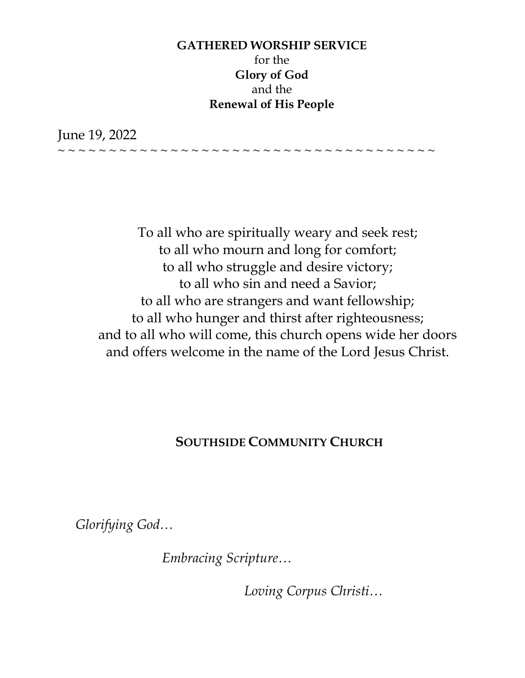#### **GATHERED WORSHIP SERVICE** for the **Glory of God**  and the **Renewal of His People**

June 19, 2022 ~ ~ ~ ~ ~ ~ ~ ~ ~ ~ ~ ~ ~ ~ ~ ~ ~ ~ ~ ~ ~ ~ ~ ~ ~ ~ ~ ~ ~ ~ ~ ~ ~ ~ ~ ~ ~

> To all who are spiritually weary and seek rest; to all who mourn and long for comfort; to all who struggle and desire victory; to all who sin and need a Savior; to all who are strangers and want fellowship; to all who hunger and thirst after righteousness; and to all who will come, this church opens wide her doors and offers welcome in the name of the Lord Jesus Christ.

### **SOUTHSIDE COMMUNITY CHURCH**

*Glorifying God…*

*Embracing Scripture…*

 *Loving Corpus Christi…*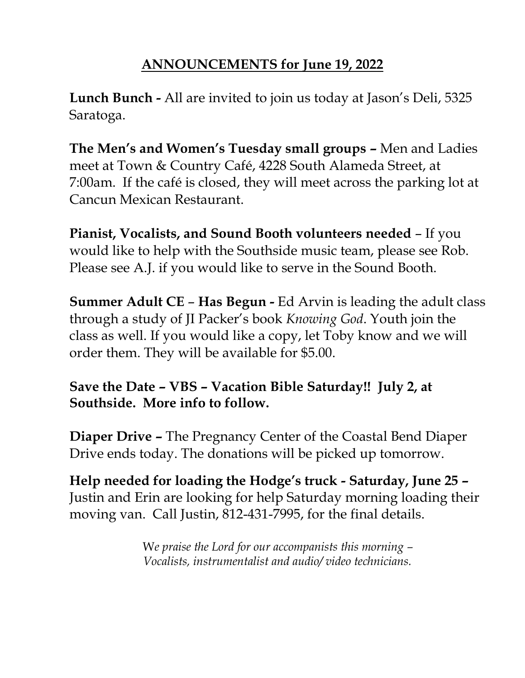# **ANNOUNCEMENTS for June 19, 2022**

**Lunch Bunch -** All are invited to join us today at Jason's Deli, 5325 Saratoga.

**The Men's and Women's Tuesday small groups –** Men and Ladies meet at Town & Country Café, 4228 South Alameda Street, at 7:00am. If the café is closed, they will meet across the parking lot at Cancun Mexican Restaurant.

**Pianist, Vocalists, and Sound Booth volunteers needed** – If you would like to help with the Southside music team, please see Rob. Please see A.J. if you would like to serve in the Sound Booth.

**Summer Adult CE** – **Has Begun -** Ed Arvin is leading the adult class through a study of JI Packer's book *Knowing God*. Youth join the class as well. If you would like a copy, let Toby know and we will order them. They will be available for \$5.00.

# **Save the Date – VBS – Vacation Bible Saturday!! July 2, at Southside. More info to follow.**

**Diaper Drive –** The Pregnancy Center of the Coastal Bend Diaper Drive ends today. The donations will be picked up tomorrow.

**Help needed for loading the Hodge's truck - Saturday, June 25 –** Justin and Erin are looking for help Saturday morning loading their moving van. Call Justin, 812-431-7995, for the final details.

> W*e praise the Lord for our accompanists this morning – Vocalists, instrumentalist and audio/ video technicians.*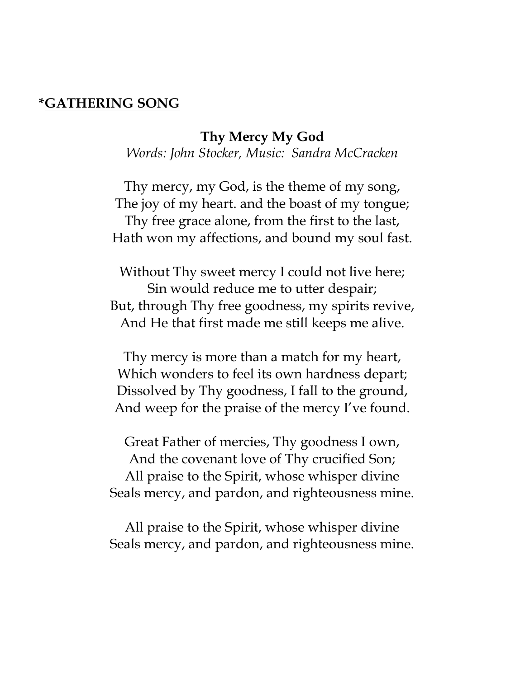### **\*GATHERING SONG**

#### **Thy Mercy My God**

*Words: John Stocker, Music: Sandra McCracken*

Thy mercy, my God, is the theme of my song, The joy of my heart. and the boast of my tongue; Thy free grace alone, from the first to the last, Hath won my affections, and bound my soul fast.

Without Thy sweet mercy I could not live here; Sin would reduce me to utter despair; But, through Thy free goodness, my spirits revive, And He that first made me still keeps me alive.

Thy mercy is more than a match for my heart, Which wonders to feel its own hardness depart; Dissolved by Thy goodness, I fall to the ground, And weep for the praise of the mercy I've found.

Great Father of mercies, Thy goodness I own, And the covenant love of Thy crucified Son; All praise to the Spirit, whose whisper divine Seals mercy, and pardon, and righteousness mine.

All praise to the Spirit, whose whisper divine Seals mercy, and pardon, and righteousness mine.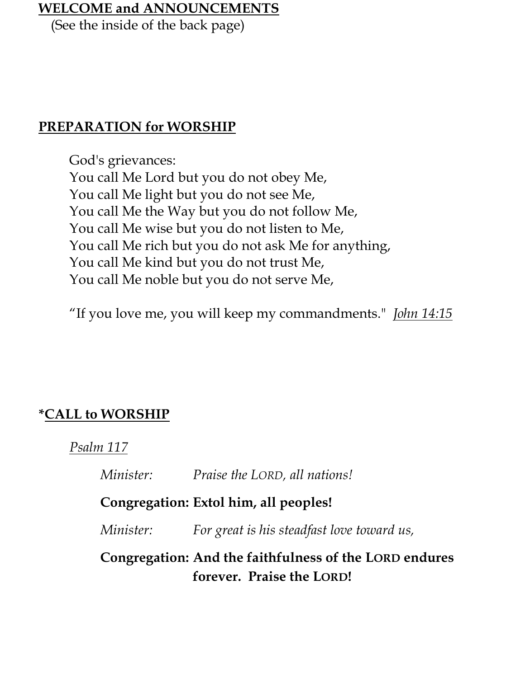## **WELCOME and ANNOUNCEMENTS**

(See the inside of the back page)

# **PREPARATION for WORSHIP**

God's grievances: You call Me Lord but you do not obey Me, You call Me light but you do not see Me, You call Me the Way but you do not follow Me, You call Me wise but you do not listen to Me, You call Me rich but you do not ask Me for anything, You call Me kind but you do not trust Me, You call Me noble but you do not serve Me,

"If you love me, you will keep my commandments." *John 14:15*

# **\*CALL to WORSHIP**

*Psalm 117*

*Minister: Praise the LORD, all nations!*

# **Congregation: Extol him, all peoples!**

*Minister: For great is his steadfast love toward us,*

**Congregation: And the faithfulness of the LORD endures forever. Praise the LORD!**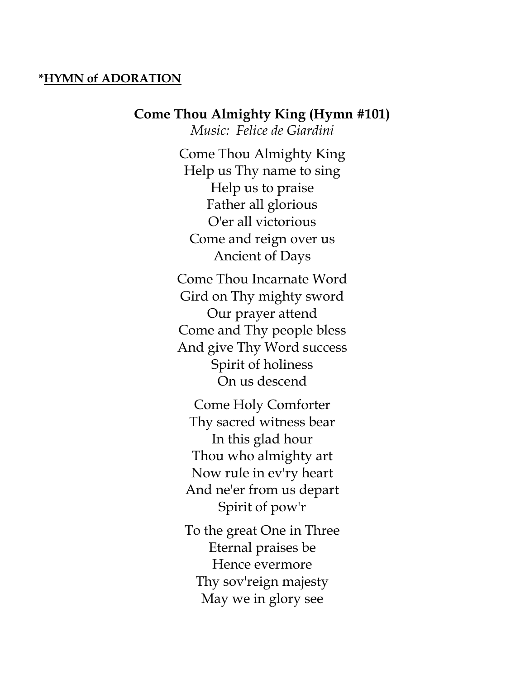#### **\*HYMN of ADORATION**

#### **Come Thou Almighty King (Hymn #101)**

*Music: Felice de Giardini*

Come Thou Almighty King Help us Thy name to sing Help us to praise Father all glorious O'er all victorious Come and reign over us Ancient of Days

Come Thou Incarnate Word Gird on Thy mighty sword Our prayer attend Come and Thy people bless And give Thy Word success Spirit of holiness On us descend

Come Holy Comforter Thy sacred witness bear In this glad hour Thou who almighty art Now rule in ev'ry heart And ne'er from us depart Spirit of pow'r

To the great One in Three Eternal praises be Hence evermore Thy sov'reign majesty May we in glory see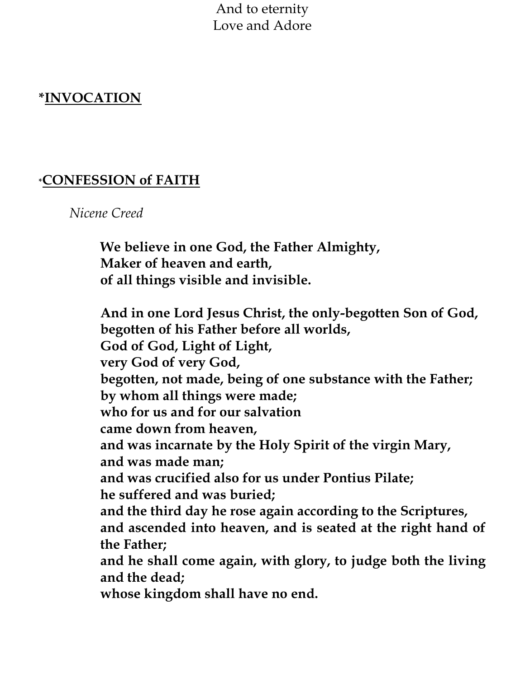And to eternity Love and Adore

# **\*INVOCATION**

# **\*CONFESSION of FAITH**

*Nicene Creed*

**We believe in one God, the Father Almighty, Maker of heaven and earth, of all things visible and invisible.** 

**And in one Lord Jesus Christ, the only-begotten Son of God, begotten of his Father before all worlds, God of God, Light of Light, very God of very God, begotten, not made, being of one substance with the Father; by whom all things were made; who for us and for our salvation came down from heaven, and was incarnate by the Holy Spirit of the virgin Mary, and was made man; and was crucified also for us under Pontius Pilate; he suffered and was buried; and the third day he rose again according to the Scriptures, and ascended into heaven, and is seated at the right hand of the Father; and he shall come again, with glory, to judge both the living and the dead; whose kingdom shall have no end.**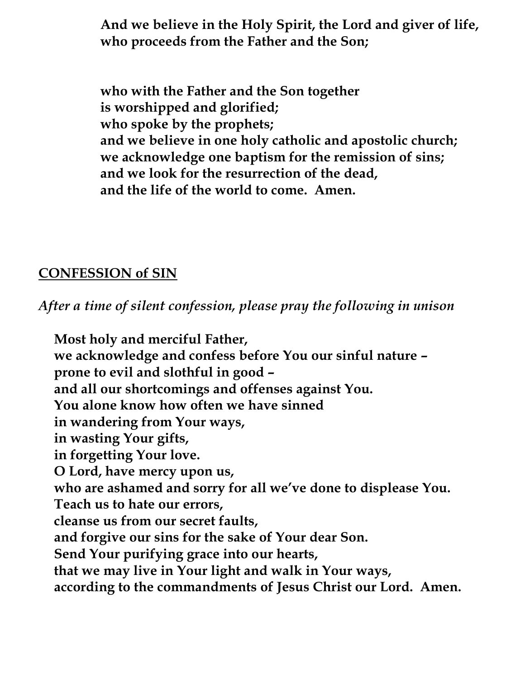**And we believe in the Holy Spirit, the Lord and giver of life, who proceeds from the Father and the Son;**

**who with the Father and the Son together is worshipped and glorified; who spoke by the prophets; and we believe in one holy catholic and apostolic church; we acknowledge one baptism for the remission of sins; and we look for the resurrection of the dead, and the life of the world to come. Amen.**

# **CONFESSION of SIN**

*After a time of silent confession, please pray the following in unison*

**Most holy and merciful Father, we acknowledge and confess before You our sinful nature – prone to evil and slothful in good – and all our shortcomings and offenses against You. You alone know how often we have sinned in wandering from Your ways, in wasting Your gifts, in forgetting Your love. O Lord, have mercy upon us, who are ashamed and sorry for all we've done to displease You. Teach us to hate our errors, cleanse us from our secret faults, and forgive our sins for the sake of Your dear Son. Send Your purifying grace into our hearts, that we may live in Your light and walk in Your ways, according to the commandments of Jesus Christ our Lord. Amen.**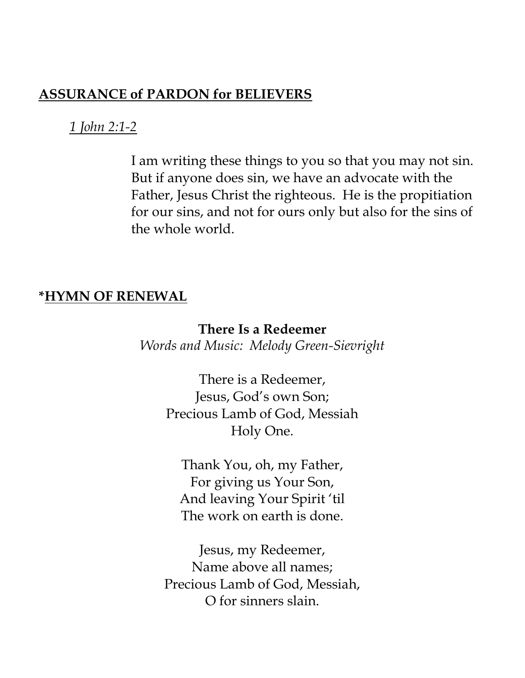## **ASSURANCE of PARDON for BELIEVERS**

*1 John 2:1-2*

I am writing these things to you so that you may not sin. But if anyone does sin, we have an advocate with the Father, Jesus Christ the righteous. He is the propitiation for our sins, and not for ours only but also for the sins of the whole world.

## **\*HYMN OF RENEWAL**

#### **There Is a Redeemer**

*Words and Music: Melody Green-Sievright*

There is a Redeemer, Jesus, God's own Son; Precious Lamb of God, Messiah Holy One.

Thank You, oh, my Father, For giving us Your Son, And leaving Your Spirit 'til The work on earth is done.

Jesus, my Redeemer, Name above all names; Precious Lamb of God, Messiah, O for sinners slain.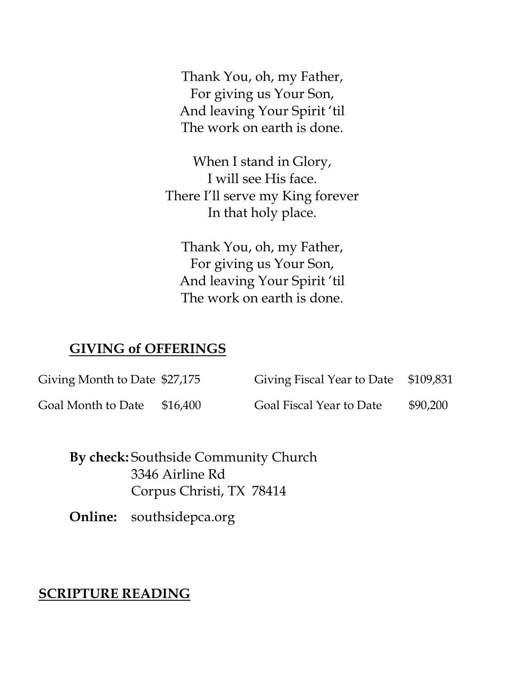Thank You, oh, my Father, For giving us Your Son, And leaving Your Spirit 'til The work on earth is done.

When I stand in Glory, I will see His face. There I'll serve my King forever In that holy place.

Thank You, oh, my Father, For giving us Your Son, And leaving Your Spirit 'til The work on earth is done.

# **GIVING of OFFERINGS**

| Giving Month to Date \$27,175 |          | Giving Fiscal Year to Date | \$109,831 |
|-------------------------------|----------|----------------------------|-----------|
| Goal Month to Date            | \$16,400 | Goal Fiscal Year to Date   | \$90,200  |

**By check:** Southside Community Church 3346 Airline Rd Corpus Christi, TX 78414

**Online:** southsidepca.org

# **SCRIPTURE READING**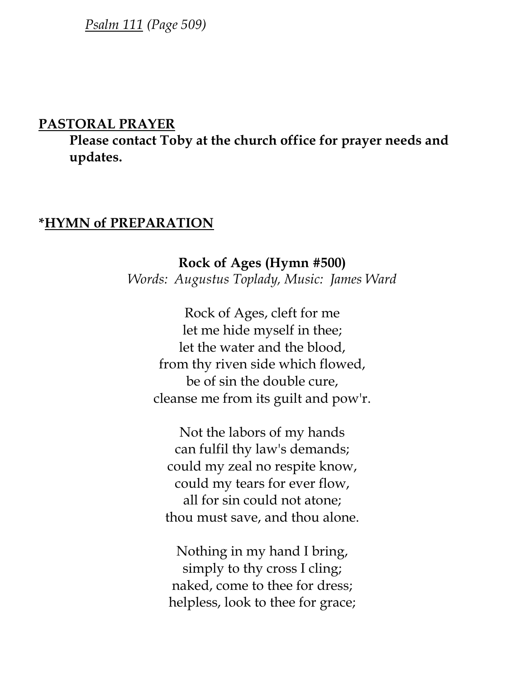*Psalm 111 (Page 509)*

#### **PASTORAL PRAYER**

**Please contact Toby at the church office for prayer needs and updates.**

### **\*HYMN of PREPARATION**

#### **Rock of Ages (Hymn #500)**

*Words: Augustus Toplady, Music: James Ward*

Rock of Ages, cleft for me let me hide myself in thee; let the water and the blood, from thy riven side which flowed, be of sin the double cure, cleanse me from its guilt and pow'r.

Not the labors of my hands can fulfil thy law's demands; could my zeal no respite know, could my tears for ever flow, all for sin could not atone; thou must save, and thou alone.

Nothing in my hand I bring, simply to thy cross I cling; naked, come to thee for dress; helpless, look to thee for grace;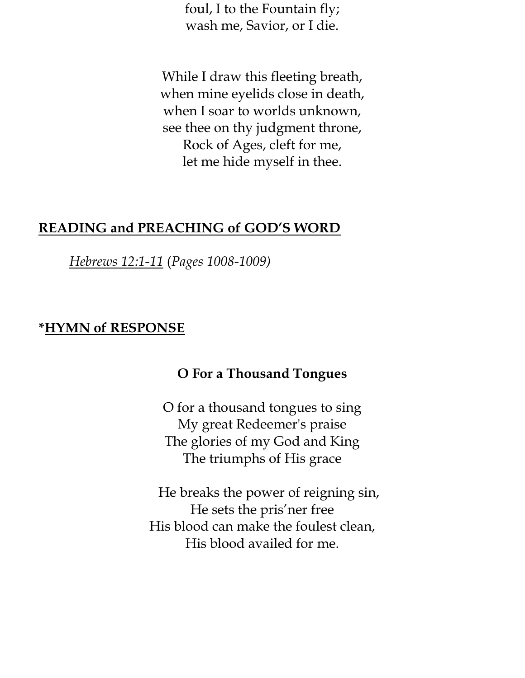foul, I to the Fountain fly; wash me, Savior, or I die.

While I draw this fleeting breath, when mine eyelids close in death, when I soar to worlds unknown, see thee on thy judgment throne, Rock of Ages, cleft for me, let me hide myself in thee.

### **READING and PREACHING of GOD'S WORD**

*Hebrews 12:1-11* (*Pages 1008-1009)*

## **\*HYMN of RESPONSE**

### **O For a Thousand Tongues**

O for a thousand tongues to sing My great Redeemer's praise The glories of my God and King The triumphs of His grace

 He breaks the power of reigning sin, He sets the pris'ner free His blood can make the foulest clean, His blood availed for me.